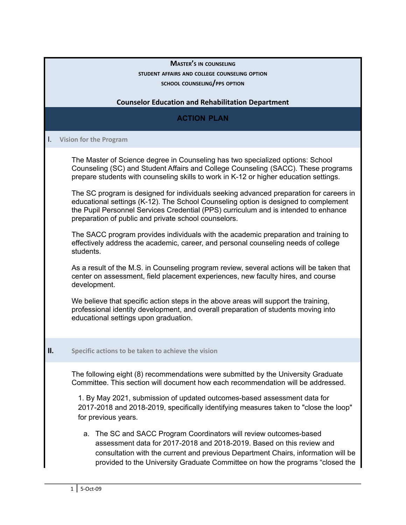## **MASTER'<sup>S</sup> IN COUNSELING STUDENT AFFAIRS AND COLLEGE COUNSELING OPTION SCHOOL COUNSELING/PPS OPTION**

## **Counselor Education and Rehabilitation Department**

# **ACTION PLAN**

### I. **Vision for the Program**

The Master of Science degree in Counseling has two specialized options: School Counseling (SC) and Student Affairs and College Counseling (SACC). These programs prepare students with counseling skills to work in K-12 or higher education settings.

The SC program is designed for individuals seeking advanced preparation for careers in educational settings (K-12). The School Counseling option is designed to complement the Pupil Personnel Services Credential (PPS) curriculum and is intended to enhance preparation of public and private school counselors.

The SACC program provides individuals with the academic preparation and training to effectively address the academic, career, and personal counseling needs of college students.

As a result of the M.S. in Counseling program review, several actions will be taken that center on assessment, field placement experiences, new faculty hires, and course development.

We believe that specific action steps in the above areas will support the training, professional identity development, and overall preparation of students moving into educational settings upon graduation.

#### **II. Specific actions to be taken to achieve the vision**

The following eight (8) recommendations were submitted by the University Graduate Committee. This section will document how each recommendation will be addressed.

1. By May 2021, submission of updated outcomes-based assessment data for 2017-2018 and 2018-2019, specifically identifying measures taken to "close the loop" for previous years.

a. The SC and SACC Program Coordinators will review outcomes-based assessment data for 2017-2018 and 2018-2019. Based on this review and consultation with the current and previous Department Chairs, information will be provided to the University Graduate Committee on how the programs "closed the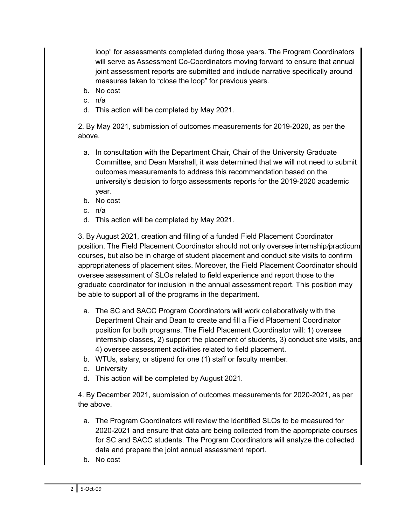loop" for assessments completed during those years. The Program Coordinators will serve as Assessment Co-Coordinators moving forward to ensure that annual joint assessment reports are submitted and include narrative specifically around measures taken to "close the loop" for previous years.

- b. No cost
- c. n/a
- d. This action will be completed by May 2021.

2. By May 2021, submission of outcomes measurements for 2019-2020, as per the above.

- a. In consultation with the Department Chair, Chair of the University Graduate Committee, and Dean Marshall, it was determined that we will not need to submit outcomes measurements to address this recommendation based on the university's decision to forgo assessments reports for the 2019-2020 academic year.
- b. No cost
- c. n/a
- d. This action will be completed by May 2021.

3. By August 2021, creation and filling of a funded Field Placement *C*oordinator position. The Field Placement Coordinator should not only oversee internship*/*practicum courses, but also be in charge of student placement and conduct site visits to confirm appropriateness of placement sites. Moreover, the Field Placement Coordinator should oversee assessment of SLOs related to field experience and report those to the graduate coordinator for inclusion in the annual assessment report. This position may be able to support all of the programs in the department.

- a. The SC and SACC Program Coordinators will work collaboratively with the Department Chair and Dean to create and fill a Field Placement Coordinator position for both programs. The Field Placement Coordinator will: 1) oversee internship classes, 2) support the placement of students, 3) conduct site visits, and 4) oversee assessment activities related to field placement.
- b. WTUs, salary, or stipend for one (1) staff or faculty member.
- c. University
- d. This action will be completed by August 2021.

4. By December 2021, submission of outcomes measurements for 2020-2021, as per the above.

- a. The Program Coordinators will review the identified SLOs to be measured for 2020-2021 and ensure that data are being collected from the appropriate courses for SC and SACC students. The Program Coordinators will analyze the collected data and prepare the joint annual assessment report.
- b. No cost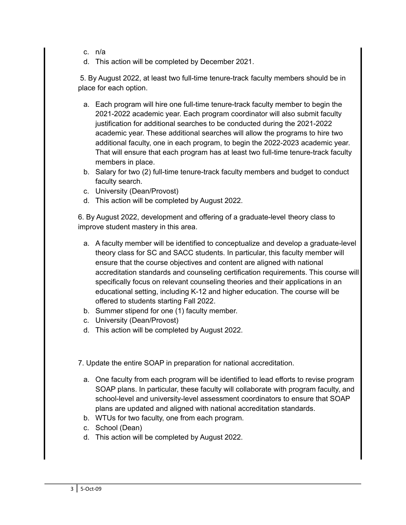- c. n/a
- d. This action will be completed by December 2021.

5. By August 2022, at least two full-time tenure-track faculty members should be in place for each option.

- a. Each program will hire one full-time tenure-track faculty member to begin the 2021-2022 academic year. Each program coordinator will also submit faculty justification for additional searches to be conducted during the 2021-2022 academic year. These additional searches will allow the programs to hire two additional faculty, one in each program, to begin the 2022-2023 academic year. That will ensure that each program has at least two full-time tenure-track faculty members in place.
- b. Salary for two (2) full-time tenure-track faculty members and budget to conduct faculty search.
- c. University (Dean/Provost)
- d. This action will be completed by August 2022.

6. By August 2022, development and offering of a graduate-level theory class to improve student mastery in this area.

- a. A faculty member will be identified to conceptualize and develop a graduate-level theory class for SC and SACC students. In particular, this faculty member will ensure that the course objectives and content are aligned with national accreditation standards and counseling certification requirements. This course will specifically focus on relevant counseling theories and their applications in an educational setting, including K-12 and higher education. The course will be offered to students starting Fall 2022.
- b. Summer stipend for one (1) faculty member.
- c. University (Dean/Provost)
- d. This action will be completed by August 2022.

7. Update the entire SOAP in preparation for national accreditation.

- a. One faculty from each program will be identified to lead efforts to revise program SOAP plans. In particular, these faculty will collaborate with program faculty, and school-level and university-level assessment coordinators to ensure that SOAP plans are updated and aligned with national accreditation standards.
- b. WTUs for two faculty, one from each program.
- c. School (Dean)
- d. This action will be completed by August 2022.